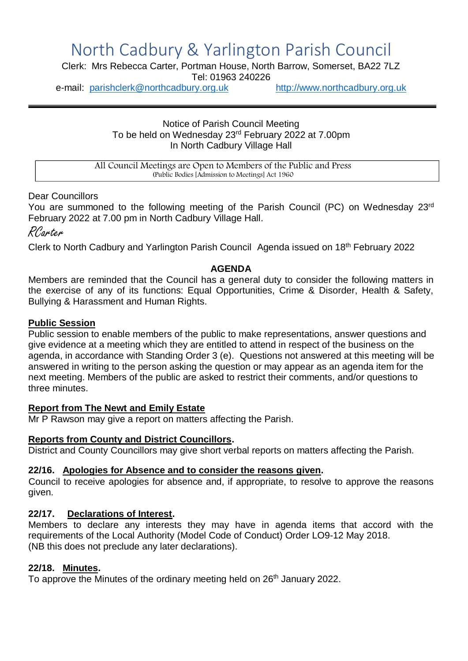# North Cadbury & Yarlington Parish Council

Clerk: Mrs Rebecca Carter, Portman House, North Barrow, Somerset, BA22 7LZ

Tel: 01963 240226

e-mail: [parishclerk@northcadbury.org.uk](mailto:parishclerk@northcadbury.org.uk) [http://www.northcadbury.org.uk](http://www.northcadbury.org.uk/)

Notice of Parish Council Meeting To be held on Wednesday 23rd February 2022 at 7.00pm In North Cadbury Village Hall

All Council Meetings are Open to Members of the Public and Press (Public Bodies [Admission to Meetings] Act 1960

Dear Councillors

You are summoned to the following meeting of the Parish Council (PC) on Wednesday 23rd February 2022 at 7.00 pm in North Cadbury Village Hall.

RCarter

Clerk to North Cadbury and Yarlington Parish Council Agenda issued on 18th February 2022

#### **AGENDA**

Members are reminded that the Council has a general duty to consider the following matters in the exercise of any of its functions: Equal Opportunities, Crime & Disorder, Health & Safety, Bullying & Harassment and Human Rights.

#### **Public Session**

Public session to enable members of the public to make representations, answer questions and give evidence at a meeting which they are entitled to attend in respect of the business on the agenda, in accordance with Standing Order 3 (e). Questions not answered at this meeting will be answered in writing to the person asking the question or may appear as an agenda item for the next meeting. Members of the public are asked to restrict their comments, and/or questions to three minutes.

#### **Report from The Newt and Emily Estate**

Mr P Rawson may give a report on matters affecting the Parish.

#### **Reports from County and District Councillors.**

District and County Councillors may give short verbal reports on matters affecting the Parish.

#### **22/16. Apologies for Absence and to consider the reasons given.**

Council to receive apologies for absence and, if appropriate, to resolve to approve the reasons given.

#### **22/17. Declarations of Interest.**

Members to declare any interests they may have in agenda items that accord with the requirements of the Local Authority (Model Code of Conduct) Order LO9-12 May 2018. (NB this does not preclude any later declarations).

### **22/18. Minutes.**

To approve the Minutes of the ordinary meeting held on 26<sup>th</sup> January 2022.